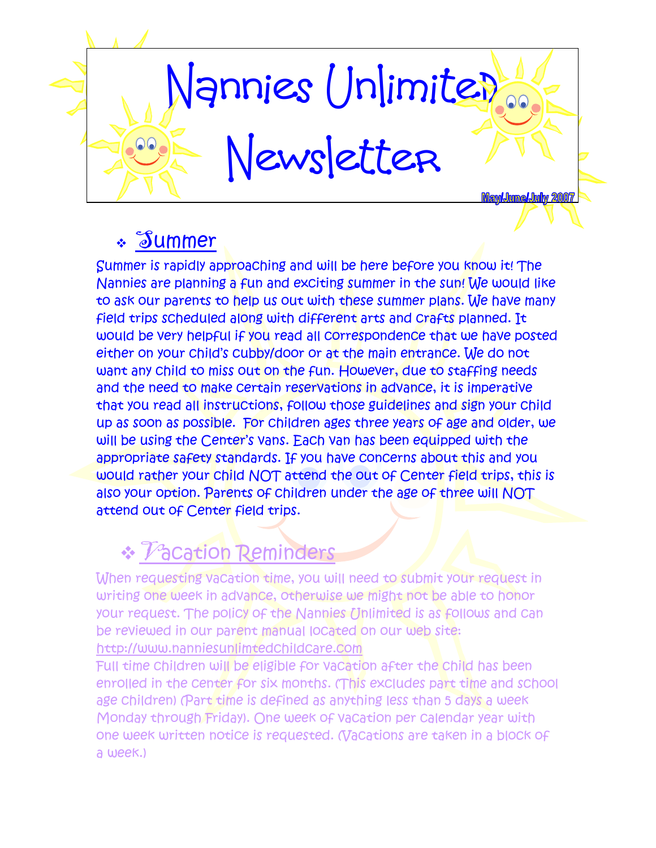

### Summer

Summer is rapidly approaching and will be here before you know it! The Nannies are planning a fun and exciting summer in the sun! We would like to ask our parents to help us out with these summer plans. We have many field trips scheduled along with different arts and crafts planned. It would be very helpful if you read all correspondence that we have posted either on your child's cubby/door or at the main entrance. We do not want any child to miss out on the fun. However, due to staffing needs and the need to make certain reservations in advance, it is imperative that you read all instructions, follow those guidelines and sign your child up as soon as possible. For children ages three years of age and older, we will be using the Center's vans. Each van has been equipped with the appropriate safety standards. If you have concerns about this and you would rather your child NOT attend the out of Center field trips, this is also your option. Parents of children under the age of three will NOT attend out of Center field trips.

### \* Vacation Reminders

When requesting vacation time, you will need to submit your request in writing one week in advance, otherwise we might not be able to honor your request. The policy of the Nannies Unlimited is as follows and can be reviewed in our parent manual located on our web site: http://www.nanniesunlimtedchildcare.com

Full time children will be eligible for vacation after the child has been enrolled in the center for six months. (This excludes part time and school age children) (Part time is defined as anything less than 5 days a week Monday through Friday). One week of vacation per calendar year with one week written notice is requested. (Vacations are taken in a block of a week.)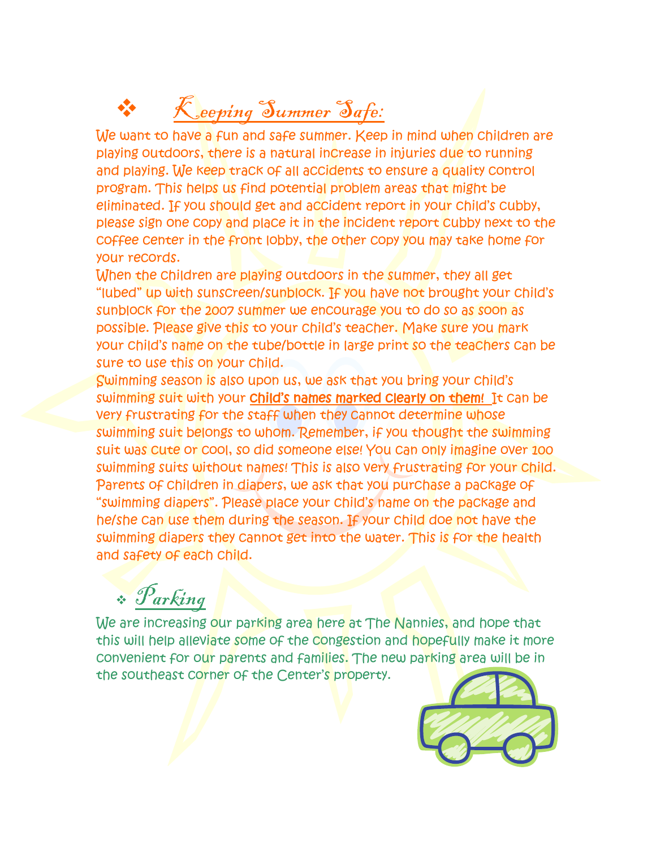## Keeping Summer Safe:

We want to have a fun and safe summer. Keep in mind when children are playing outdoors, there is a natural increase in injuries due to running and playing. We keep track of all accidents to ensure a quality control program. This helps us find potential problem areas that might be eliminated. If you should get and accident report in your child's cubby, please sign one copy and place it in the incident report cubby next to the coffee center in the front lobby, the other copy you may take home for your records.

When the children are playing outdoors in the summer, they all get "lubed" up with sunscreen/sunblock. If you have not brought your child's sunblock for the 2007 summer we encourage you to do so as soon as possible. Please give this to your child's teacher. Make sure you mark your child's name on the tube/bottle in large print so the teachers can be sure to use this on your child.

Swimming season is also upon us, we ask that you bring your child's swimming suit with your child's names marked clearly on them! It can be very frustrating for the staff when they cannot determine whose swimming suit belongs to whom. Remember, if you thought the swimming suit was cute or cool, so did someone else! You can only imagine over 100 swimming suits without names! This is also very frustrating for your child. Parents of children in diapers, we ask that you purchase a package of "swimming diapers". Please place your child's name on the package and he/she can use them during the season. If your child doe not have the swimming diapers they cannot get into the water. This is for the health and safety of each child.

## Parking

We are increasing our parking area here at The Nannies, and hope that this will help alleviate some of the congestion and hopefully make it more convenient for our parents and families. The new parking area will be in the southeast corner of the Center's property.

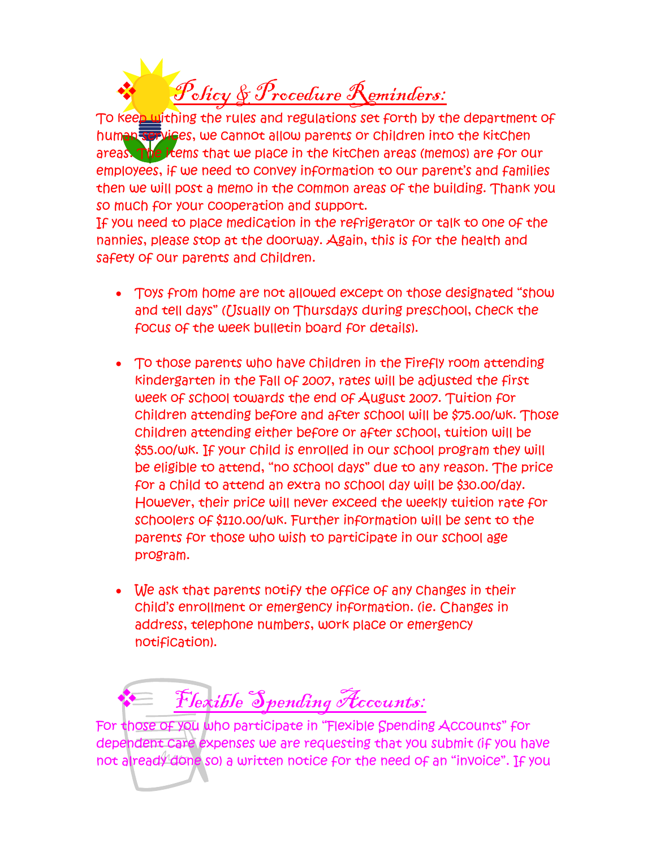Policy & Procedure Reminders:

To keep withing the rules and regulations set forth by the department of human services, we cannot allow parents or children into the kitchen areas. The items that we place in the kitchen areas (memos) are for our employees, if we need to convey information to our parent's and families then we will post a memo in the common areas of the building. Thank you so much for your cooperation and support.

If you need to place medication in the refrigerator or talk to one of the nannies, please stop at the doorway. Again, this is for the health and safety of our parents and children.

- Toys from home are not allowed except on those designated "show and tell days" ([Isually on Thursdays during preschool, check the focus of the week bulletin board for details).
- To those parents who have children in the Firefly room attending kindergarten in the Fall of 2007, rates will be adjusted the first week of school towards the end of August 2007. Tuition for children attending before and after school will be \$75.00/wk. Those children attending either before or after school, tuition will be \$55.00/wk. If your child is enrolled in our school program they will be eligible to attend, "no school days" due to any reason. The price for a child to attend an extra no school day will be \$30.00/day. However, their price will never exceed the weekly tuition rate for schoolers of \$110.00/wk. Further information will be sent to the parents for those who wish to participate in our school age program.
- We ask that parents notify the office of any changes in their child's enrollment or emergency information. (ie. Changes in address, telephone numbers, work place or emergency notification).

Flexible Spending Accounts:

For those of you who participate in "Flexible Spending Accounts" for dependent care expenses we are requesting that you submit (if you have not already done so) a written notice for the need of an "invoice". If you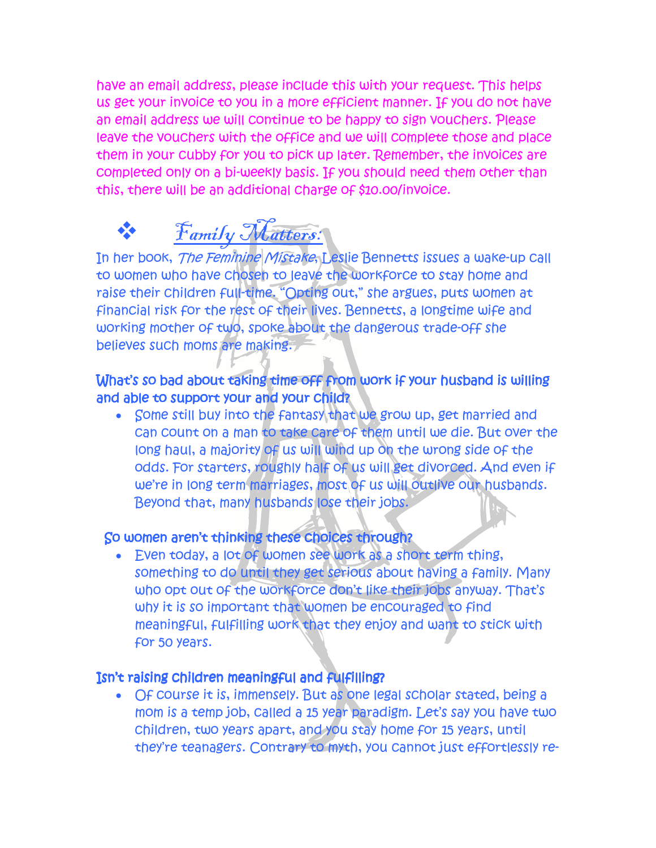have an email address, please include this with your request. This helps us get your invoice to you in a more efficient manner. If you do not have an email address we will continue to be happy to sign vouchers. Please leave the vouchers with the office and we will complete those and place them in your cubby for you to pick up later. Remember, the invoices are completed only on a bi-weekly basis. If you should need them other than this, there will be an additional charge of \$10.00/invoice.

## $\mathcal{F}_{amily}$  Matters:

In her book, The Feminine Mistake, Leslie Bennetts issues a wake-up call to women who have chosen to leave the workforce to stay home and raise their children full-time. "Opting out," she argues, puts women at financial risk for the rest of their lives. Bennetts, a longtime wife and working mother of two, spoke about the dangerous trade-off she believes such moms are making.

#### What's so bad about taking time off from work if your husband is willing and able to support your and your child?

• Some still buy into the fantasy that we grow up, get married and can count on a man to take care of them until we die. But over the long haul, a majority of us will wind up on the wrong side of the odds. For starters, roughly half of us will get divorced. And even if we're in long term marriages, most of us will outlive our husbands. Beyond that, many husbands lose their jobs.

#### So women aren't thinking these choices through?

• Even today, a lot of women see work as a short term thing, something to do until they get serious about having a family. Many who opt out of the workforce don't like their jobs anyway. That's why it is so important that women be encouraged to find meaningful, fulfilling work that they enjoy and want to stick with for 50 years.

#### Isn't raising children meaningful and fulfilling?

• Of course it is, immensely. But as one legal scholar stated, being a mom is a temp job, called a 15 year paradigm. Let's say you have two children, two years apart, and you stay home for 15 years, until they're teanagers. Contrary to myth, you cannot just effortlessly re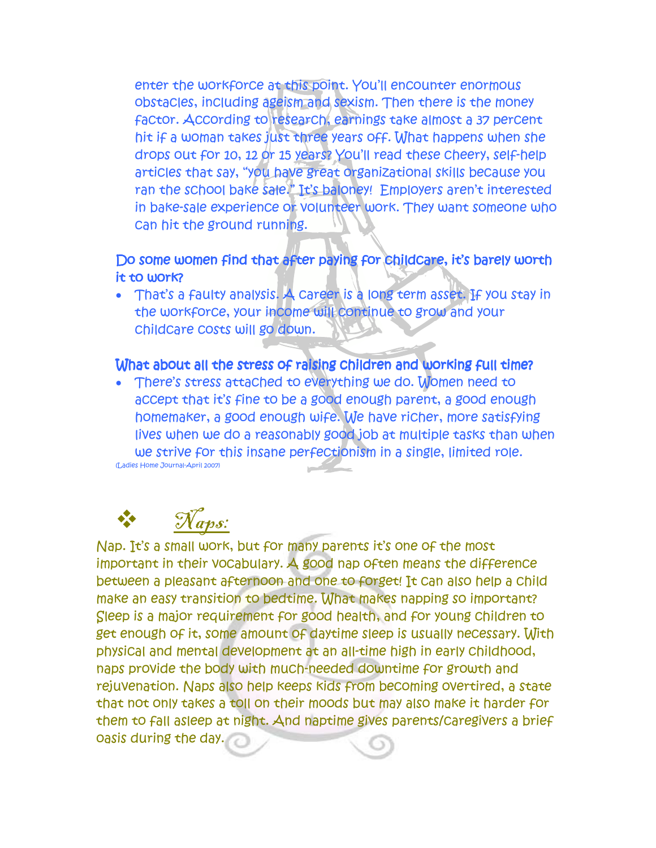enter the workforce at this point. You'll encounter enormous obstacles, including ageism and sexism. Then there is the money factor. According to research, earnings take almost a 37 percent hit if a woman takes just three years off. What happens when she drops out for 10, 12 or 15 years? You'll read these cheery, self-help articles that say, "you have great organizational skills because you ran the school bake sale." It's baloney! Employers aren't interested in bake-sale experience or volunteer work. They want someone who can hit the ground running.

#### Do some women find that after paying for childcare, it's barely worth it to work?

• That's a faulty analysis. A career is a long term asset. If you stay in the workforce, your income will continue to grow and your childcare costs will go down.

#### What about all the stress of raising children and working full time?

• There's stress attached to everything we do. Women need to accept that it's fine to be a good enough parent, a good enough homemaker, a good enough wife. We have richer, more satisfying lives when we do a reasonably good job at multiple tasks than when we strive for this insane perfectionism in a single, limited role. (Ladies Home Journal-April 2007)

# Naps:

Nap. It's a small work, but for many parents it's one of the most important in their vocabulary. A good nap often means the difference between a pleasant afternoon and one to forget! It can also help a child make an easy transition to bedtime. What makes napping so important? Sleep is a major requirement for good health, and for young children to get enough of it, some amount of daytime sleep is usually necessary. With physical and mental development at an all-time high in early childhood, naps provide the body with much-needed downtime for growth and rejuvenation. Naps also help keeps kids from becoming overtired, a state that not only takes a toll on their moods but may also make it harder for them to fall asleep at night. And naptime gives parents/caregivers a brief oasis during the day.